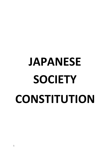# **JAPANESE SOCIETY CONSTITUTION**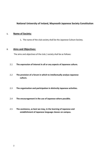## **National University of Ireland, Maynooth Japanese Society Constitution**

#### **1. Name of Society:**

1**.** The name of the club society shall be the Japanese Culture Society.

#### **2. Aims and Objectives:**

The aims and objectives of the club / society shall be as follows:

#### 2.1 **The expression of interest in all or any aspects of Japanese culture.**

- 2.2 **The provision of a forum in which to intellectually analyse Japanese culture.**
- 2.3 **The organisation and participation in distinctly Japanese activities.**
- 2.4 **The encouragement in the use of Japanese where possible.**
- 2.5 **The assistance, as best we may, in the learning of Japanese and establishment of Japanese language classes on campus.**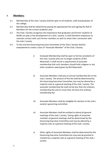#### **3. Members:**

- 3.1 Membership of the club / society shall be open to all students, staff and graduates of the college.
- 3.2 Membership shall be obtained by paying the appropriate fee and signing the Roll of Members for the current academic year.
- 3.3 The Club / Society recognises the importance that graduates and former students of NUIM can play in the development of a club / society. It shall therefore endeavour to maintain contact with such former members as wish to retain their connection with the club / society
- 3.4 To this end the Governing Executive Committee of the Club / Society shall be empowered to create a class of "Associate Member" of the Club / Society.
	- i) Graduate Membership shall be open to former presidents of the club / society who are no longer students of NUI Maynooth. It shall not be a requirement of associate membership that such members should hold a degree or any other academic award given by NUI Maynooth.
	- ii) Associate Members shall pay an annual membership fee to the club / society. The amount of this fee shall be determined by the Governing Executive Committee, but may be altered by a majority vote at a general meeting of the club / society. The associate membership fee shall not be less than the ordinary membership fee and no more than 10 times the ordinary membership fee.
	- iii) Associate Members shall be ineligible for election to the club / society's governing committee
	- iv) Associate Members shall be entitled to attend all general meetings of the club / society. Voting rights of associate members at general meetings shall be determined by the Governing Executive Committee and may be altered by a majority vote at a general meeting of the club / society.
	- v) Other rights of Associate Members shall be determined by the Governing Executive Committee but may also be granted or revoked by a majority vote at a general meeting of the club / society.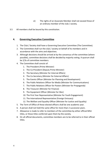- vi) The rights of an Associate Member shall not exceed those of an ordinary member of the club / society.
- 3.5 All members shall be bound by this constitution.

#### **4. Governing Executive Committee**

- 1. The Club / Society shall have a Governing Executive Committee (The Committee).
- 2. The Committee shall run the club / society on behalf of its members and in accordance with the aims and objectives.
- 3. Although decisions should be arrived at by the consensus of the committee (where possible), committee decisions shall be decided by majority voting. A quorum shall be 2/3s of committee members.
- 4. The Committee shall consist of:
	- 1. The President (Prime Minister)
	- 2. The Co-President (Deputy Prime Minister)
	- 3. The Secretary (Minister for Internal Affairs)
	- 4. The Co-Secretary (Minister for External Affairs)
	- 5. The Events Officer (Minister for Planning and Development)
	- 6. The Public Relations Officer for Media (Minister for Communications)
	- 7. The Public Relations Officer for Posters (Minister for Propaganda)
	- 8. The Treasurer (Minister for Finance)
	- 9. The Equipment Officer (Minister for War)
	- 10. The First Year Representative (Minister for Youth Engagement)
	- 11. The International Representative (Foreign Emissary)
	- 12. The Welfare and Equality Officer (Minister for Justice and Equality)
- 5. The Term of Office of these elected officers shall be one academic year.
- 6. A person shall not hold the same office for more than 2 successive years.
- 7. Allowance is made to refer to members of the committee by either official MSU titles, or those titles conferred upon them by the society.
- 8. On all official documents, committee members are to be referred to in their official titles.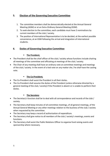## **5. Election of the Governing Executive Committee**

- 1. The committee members shall be democratically elected at the Annual General Meeting (AGM) or at an Extra-Ordinary General Meeting (EGM).
- 2. To seek election to the committee, each candidate must have 2 nominations by current members of the club / society.
- 3. The position of International Representative is to be decided, at the earliest possible convenience, at an EGM following the arrival and integration of international students.

# **6. Duties of Governing Executive Committee**

## ▪ **The President;**

- The President shall be the chief officer of the club / society whose functions include chairing all meetings of the committee and officiating at meetings of the club / society.
- The Chair of any meeting shall have an ordinary vote at committee meetings and meetings of the club / society. In the event of a tied vote on any matter she / he shall have the casting vote.

#### ▪ **The Co-President;**

- The Co-President shall assist the President in all their duties.
- The Co-President shall assume the duties of the President (unless otherwise directed by a general meeting of the club / society) if the President is absent or is unable to perform their duties.

## ▪ **The Secretary**

- The Secretary's function shall be to deal with all correspondence and records of the club / society.
- The Secretary shall keep minutes of all committee meetings, of all general meetings, of the Annual General Meeting or any other meetings relation to the business of the club / society when requested by the committee.
- The Secretary may keep a record of authorisation of expenditure.
- The Secretary shall give notice to all members of the club / society's meetings, events and functions.
- The Secretary shall assist the Public Relations Officer to organise fund raising events and sponsorship where necessary.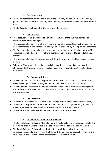#### ▪ **The Co-Secretary**

- The Co-Secretary shall assume the duties of the Secretary (unless otherwise directed by a general meeting of the club / society) if the Secretary is absent or is unable to perform their duties.
- The Co-Secretary shall assist the Secretary in all their duties.

#### ▪ **The Treasurer;**

- The Treasurer's function shall be to administer the funds of the club / society and to maintain accounts and budgets.
- The Treasurer shall be responsible for the maintenance of accounts subject to the decisions of the committee in compliance with the regulations set down by the Capitation Committee.
- The Treasurer shall keep full records of income and expenditure of the club / society. The Treasurer shall also keep a record of who authorised various expenditures and shall issue receipts.
- The Treasurer shall sign all cheques and withdrawals forms from the Club / Society's bank account.
- Where the Treasurer is decreed as unavailable, another designated person may sign cheques and withdrawal forms for the club / society on consultation with the Capitation Committee.

#### ▪ **The Equipment Officer;**

- The Equipment Officer shall be responsible for the fixed and current assets of the club / society in compliance with the regulations set down by the Capitation Committee.
- The Equipment Officer shall maintain a record of all fixed and current assets belonging to the club / society and will report an inventory list to the committee at the start and end of the academic year.

#### ▪ **The Events Officer**

- The Events Officer shall be responsible for setting up and running events for the society.
- They shall be responsible for ensure that events that are set up go according to plan, and make sure that committee members are available to come to each event.
- They shall listen to any ideas the members of the society have for events.

#### ▪ **The Public Relations Officer of Media;**

- The Public Relations Officer of Media (along with the Secretary) shall be responsible for the advertising of all functions of the club / society through the social medias presented.
- The Public Relations Officer (along with the Secretary) shall deal with external correspondence and maintain records of the contribution outside bodies have had for the club / society and to give notice to all members of these contributions.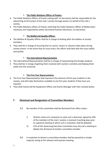#### **The Public Relations Officer of Posters**

- The Public Relations Officer of Posters (along with Co-Secretary) shall be responsible for the advertising of all function of the club / society through posters on behalf of the club / society.
- The Public Relations officer of Posters shall help the Public Relations Officer of Media when necessary and requested by either Secretarial Position (Secretary, Co-Secretary).

#### ▪ **The Welfare & Equality Officer;**

- The Welfare & Equality Officer shall be in charge of looking after the welfare of society members.
- They shall be in charge of ensuring that no racism, sexism or classism takes place during society events. In the event that an issue arises, the officer shall deal with the issue swiftly and quietly.

#### ▪ **The International Representative**

- The International Representative shall be in charge of representing the foreign students.
- They shall be in charge of getting them involved with society's activities and helping them settle into the university.

#### ▪ **The First-Year Representative**

- The First-Year Representative shall represent the interests of first year students in the society, and will make themselves available to any first year students if they have any inquiries
- They shall mainly aid the Equipment Officer and Events Manager with their societal duties.

# **7. Dismissal and Resignation of Committee Members**

- **7.1** No member of the committee shall be dismissed from office unless:
	- i) Written notice of a resolution to seek such a dismissal, signed by 10% of the members of the club / society is received 4 working days prior to a general meeting at which such a resolution shall be debated.
	- ii) 2/3s of the Governing Executive Committee may also call a meeting to debate the dismissal of another committee member.
- **7.2** A resolution to dismiss a committee member shall be passed by a simple majority voting at the relevant and quorate meeting.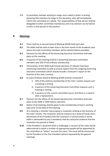**7.3** A committee member wishing to resign must submit a letter in writing declaring that intention to resign to the Secretary, who will immediately inform the committee as a whole. The responsibilities of that person shall be delegated to other committee members(s) until a by-election can be held to re-elect a new person to the position.

#### **8. Meetings**

- **8.1** There shall be an Annual General Meeting (AGM) held each year.
- **8.2** The AGM shall be held no later than in the final month of the Academic year where the main committee members will be elected (where possible).
- **8.3** Elections for the offices of the Governing Executive Committee shall take place at this meeting.
- **8.4** A quorum of the meeting shall be 3 Governing Executive Committee members and 10% of the ordinary membership
- **8.5** The business of the AGM shall include elections of relevant Executive Governing Committee as well as annual reports from the outgoing Governing Executive Committee (which should include a Treasurer's report on the finances of the club / society).
- **8.6** An Extra-Ordinary General Meeting (EGM) shall be convened if:
	- i) 10% of the ordinary membership of the club / society request such a meeting in writing.
	- ii) A quorum of the Governing Executive Committee requests such a meeting in writing.
	- iii) A vacancy on the current committee occurs and there is a need to elect a replacement.
- **8.7** Elections for the offices of the Governing Executive Committee shall take place at the AGM or EGM (where relevant).
- **8.8** Notice of all meetings shall be given to the membership at least 5 working days prior to the date of the meeting.
- **8.9** At a meeting, a member may propose a resolution relating to the business of the club / society. The resolution shall be voted on by a show of hands and a declaration of the President that the resolution is carried (unless a secret ballot is demanded by any 5 members) shall be conclusive evidence that the resolution has passed or failed.
- **8.10** If the President's resolution (8.9) is challenged, a recount of the votes will be administered in which a number of appropriate people will be appointed by the committee as "tellers" to count the votes. The result will be announced by the President or the Vice-President (where requested by the general meeting).